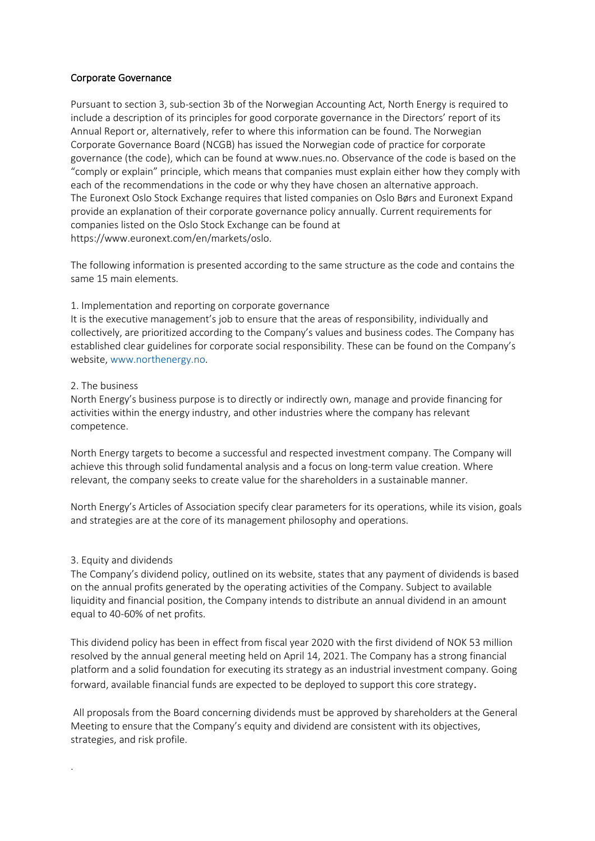# Corporate Governance

Pursuant to section 3, sub-section 3b of the Norwegian Accounting Act, North Energy is required to include a description of its principles for good corporate governance in the Directors' report of its Annual Report or, alternatively, refer to where this information can be found. The Norwegian Corporate Governance Board (NCGB) has issued the Norwegian code of practice for corporate governance (the code), which can be found at www.nues.no. Observance of the code is based on the "comply or explain" principle, which means that companies must explain either how they comply with each of the recommendations in the code or why they have chosen an alternative approach. The Euronext Oslo Stock Exchange requires that listed companies on Oslo Børs and Euronext Expand provide an explanation of their corporate governance policy annually. Current requirements for companies listed on the Oslo Stock Exchange can be found at https://www.euronext.com/en/markets/oslo.

The following information is presented according to the same structure as the code and contains the same 15 main elements.

# 1. Implementation and reporting on corporate governance

It is the executive management's job to ensure that the areas of responsibility, individually and collectively, are prioritized according to the Company's values and business codes. The Company has established clear guidelines for corporate social responsibility. These can be found on the Company's website, www.northenergy.no.

# 2. The business

North Energy's business purpose is to directly or indirectly own, manage and provide financing for activities within the energy industry, and other industries where the company has relevant competence.

North Energy targets to become a successful and respected investment company. The Company will achieve this through solid fundamental analysis and a focus on long-term value creation. Where relevant, the company seeks to create value for the shareholders in a sustainable manner.

North Energy's Articles of Association specify clear parameters for its operations, while its vision, goals and strategies are at the core of its management philosophy and operations.

# 3. Equity and dividends

.

The Company's dividend policy, outlined on its website, states that any payment of dividends is based on the annual profits generated by the operating activities of the Company. Subject to available liquidity and financial position, the Company intends to distribute an annual dividend in an amount equal to 40-60% of net profits.

This dividend policy has been in effect from fiscal year 2020 with the first dividend of NOK 53 million resolved by the annual general meeting held on April 14, 2021. The Company has a strong financial platform and a solid foundation for executing its strategy as an industrial investment company. Going forward, available financial funds are expected to be deployed to support this core strategy.

All proposals from the Board concerning dividends must be approved by shareholders at the General Meeting to ensure that the Company's equity and dividend are consistent with its objectives, strategies, and risk profile.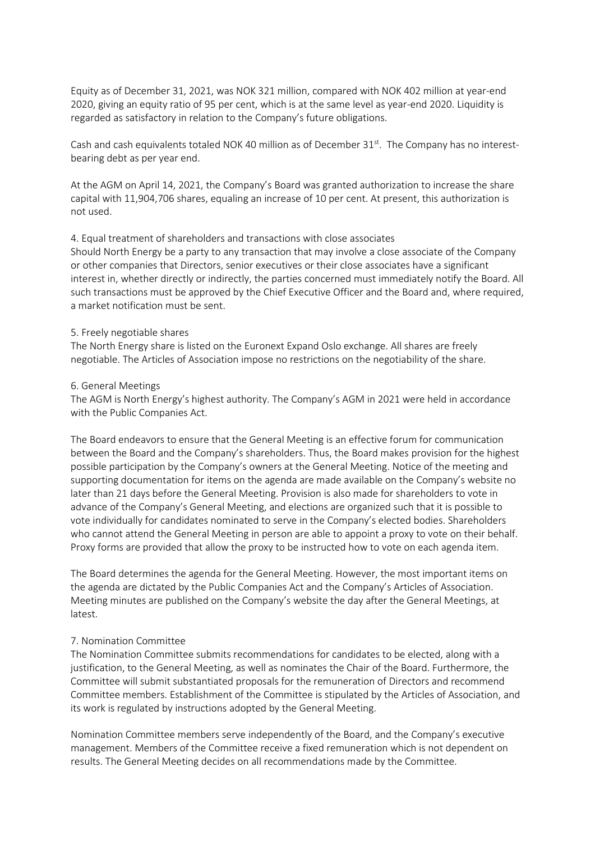Equity as of December 31, 2021, was NOK 321 million, compared with NOK 402 million at year-end 2020, giving an equity ratio of 95 per cent, which is at the same level as year-end 2020. Liquidity is regarded as satisfactory in relation to the Company's future obligations.

Cash and cash equivalents totaled NOK 40 million as of December  $31<sup>st</sup>$ . The Company has no interestbearing debt as per year end.

At the AGM on April 14, 2021, the Company's Board was granted authorization to increase the share capital with 11,904,706 shares, equaling an increase of 10 per cent. At present, this authorization is not used.

#### 4. Equal treatment of shareholders and transactions with close associates

Should North Energy be a party to any transaction that may involve a close associate of the Company or other companies that Directors, senior executives or their close associates have a significant interest in, whether directly or indirectly, the parties concerned must immediately notify the Board. All such transactions must be approved by the Chief Executive Officer and the Board and, where required, a market notification must be sent.

#### 5. Freely negotiable shares

The North Energy share is listed on the Euronext Expand Oslo exchange. All shares are freely negotiable. The Articles of Association impose no restrictions on the negotiability of the share.

#### 6. General Meetings

The AGM is North Energy's highest authority. The Company's AGM in 2021 were held in accordance with the Public Companies Act.

The Board endeavors to ensure that the General Meeting is an effective forum for communication between the Board and the Company's shareholders. Thus, the Board makes provision for the highest possible participation by the Company's owners at the General Meeting. Notice of the meeting and supporting documentation for items on the agenda are made available on the Company's website no later than 21 days before the General Meeting. Provision is also made for shareholders to vote in advance of the Company's General Meeting, and elections are organized such that it is possible to vote individually for candidates nominated to serve in the Company's elected bodies. Shareholders who cannot attend the General Meeting in person are able to appoint a proxy to vote on their behalf. Proxy forms are provided that allow the proxy to be instructed how to vote on each agenda item.

The Board determines the agenda for the General Meeting. However, the most important items on the agenda are dictated by the Public Companies Act and the Company's Articles of Association. Meeting minutes are published on the Company's website the day after the General Meetings, at latest.

# 7. Nomination Committee

The Nomination Committee submits recommendations for candidates to be elected, along with a justification, to the General Meeting, as well as nominates the Chair of the Board. Furthermore, the Committee will submit substantiated proposals for the remuneration of Directors and recommend Committee members. Establishment of the Committee is stipulated by the Articles of Association, and its work is regulated by instructions adopted by the General Meeting.

Nomination Committee members serve independently of the Board, and the Company's executive management. Members of the Committee receive a fixed remuneration which is not dependent on results. The General Meeting decides on all recommendations made by the Committee.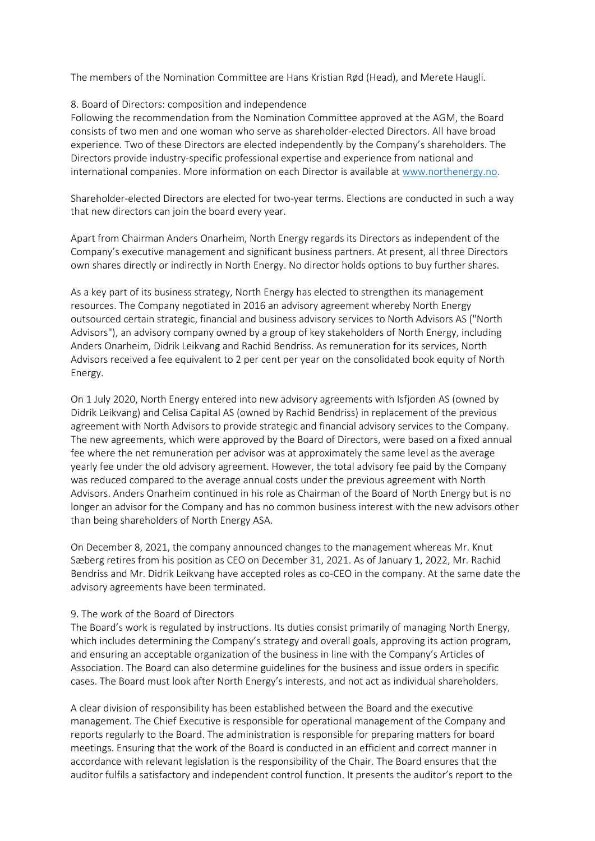The members of the Nomination Committee are Hans Kristian Rød (Head), and Merete Haugli.

# 8. Board of Directors: composition and independence

Following the recommendation from the Nomination Committee approved at the AGM, the Board consists of two men and one woman who serve as shareholder-elected Directors. All have broad experience. Two of these Directors are elected independently by the Company's shareholders. The Directors provide industry-specific professional expertise and experience from national and international companies. More information on each Director is available at www.northenergy.no.

Shareholder-elected Directors are elected for two-year terms. Elections are conducted in such a way that new directors can join the board every year.

Apart from Chairman Anders Onarheim, North Energy regards its Directors as independent of the Company's executive management and significant business partners. At present, all three Directors own shares directly or indirectly in North Energy. No director holds options to buy further shares.

As a key part of its business strategy, North Energy has elected to strengthen its management resources. The Company negotiated in 2016 an advisory agreement whereby North Energy outsourced certain strategic, financial and business advisory services to North Advisors AS ("North Advisors"), an advisory company owned by a group of key stakeholders of North Energy, including Anders Onarheim, Didrik Leikvang and Rachid Bendriss. As remuneration for its services, North Advisors received a fee equivalent to 2 per cent per year on the consolidated book equity of North Energy.

On 1 July 2020, North Energy entered into new advisory agreements with Isfjorden AS (owned by Didrik Leikvang) and Celisa Capital AS (owned by Rachid Bendriss) in replacement of the previous agreement with North Advisors to provide strategic and financial advisory services to the Company. The new agreements, which were approved by the Board of Directors, were based on a fixed annual fee where the net remuneration per advisor was at approximately the same level as the average yearly fee under the old advisory agreement. However, the total advisory fee paid by the Company was reduced compared to the average annual costs under the previous agreement with North Advisors. Anders Onarheim continued in his role as Chairman of the Board of North Energy but is no longer an advisor for the Company and has no common business interest with the new advisors other than being shareholders of North Energy ASA.

On December 8, 2021, the company announced changes to the management whereas Mr. Knut Sæberg retires from his position as CEO on December 31, 2021. As of January 1, 2022, Mr. Rachid Bendriss and Mr. Didrik Leikvang have accepted roles as co-CEO in the company. At the same date the advisory agreements have been terminated.

# 9. The work of the Board of Directors

The Board's work is regulated by instructions. Its duties consist primarily of managing North Energy, which includes determining the Company's strategy and overall goals, approving its action program, and ensuring an acceptable organization of the business in line with the Company's Articles of Association. The Board can also determine guidelines for the business and issue orders in specific cases. The Board must look after North Energy's interests, and not act as individual shareholders.

A clear division of responsibility has been established between the Board and the executive management. The Chief Executive is responsible for operational management of the Company and reports regularly to the Board. The administration is responsible for preparing matters for board meetings. Ensuring that the work of the Board is conducted in an efficient and correct manner in accordance with relevant legislation is the responsibility of the Chair. The Board ensures that the auditor fulfils a satisfactory and independent control function. It presents the auditor's report to the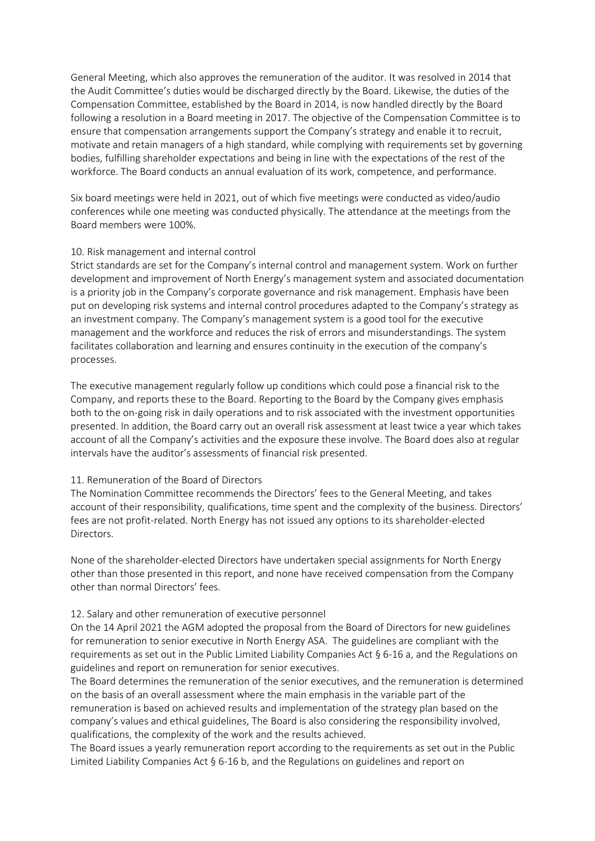General Meeting, which also approves the remuneration of the auditor. It was resolved in 2014 that the Audit Committee's duties would be discharged directly by the Board. Likewise, the duties of the Compensation Committee, established by the Board in 2014, is now handled directly by the Board following a resolution in a Board meeting in 2017. The objective of the Compensation Committee is to ensure that compensation arrangements support the Company's strategy and enable it to recruit, motivate and retain managers of a high standard, while complying with requirements set by governing bodies, fulfilling shareholder expectations and being in line with the expectations of the rest of the workforce. The Board conducts an annual evaluation of its work, competence, and performance.

Six board meetings were held in 2021, out of which five meetings were conducted as video/audio conferences while one meeting was conducted physically. The attendance at the meetings from the Board members were 100%.

# 10. Risk management and internal control

Strict standards are set for the Company's internal control and management system. Work on further development and improvement of North Energy's management system and associated documentation is a priority job in the Company's corporate governance and risk management. Emphasis have been put on developing risk systems and internal control procedures adapted to the Company's strategy as an investment company. The Company's management system is a good tool for the executive management and the workforce and reduces the risk of errors and misunderstandings. The system facilitates collaboration and learning and ensures continuity in the execution of the company's processes.

The executive management regularly follow up conditions which could pose a financial risk to the Company, and reports these to the Board. Reporting to the Board by the Company gives emphasis both to the on-going risk in daily operations and to risk associated with the investment opportunities presented. In addition, the Board carry out an overall risk assessment at least twice a year which takes account of all the Company's activities and the exposure these involve. The Board does also at regular intervals have the auditor's assessments of financial risk presented.

# 11. Remuneration of the Board of Directors

The Nomination Committee recommends the Directors' fees to the General Meeting, and takes account of their responsibility, qualifications, time spent and the complexity of the business. Directors' fees are not profit-related. North Energy has not issued any options to its shareholder-elected **Directors** 

None of the shareholder-elected Directors have undertaken special assignments for North Energy other than those presented in this report, and none have received compensation from the Company other than normal Directors' fees.

# 12. Salary and other remuneration of executive personnel

On the 14 April 2021 the AGM adopted the proposal from the Board of Directors for new guidelines for remuneration to senior executive in North Energy ASA. The guidelines are compliant with the requirements as set out in the Public Limited Liability Companies Act § 6-16 a, and the Regulations on guidelines and report on remuneration for senior executives.

The Board determines the remuneration of the senior executives, and the remuneration is determined on the basis of an overall assessment where the main emphasis in the variable part of the remuneration is based on achieved results and implementation of the strategy plan based on the company's values and ethical guidelines, The Board is also considering the responsibility involved, qualifications, the complexity of the work and the results achieved.

The Board issues a yearly remuneration report according to the requirements as set out in the Public Limited Liability Companies Act § 6-16 b, and the Regulations on guidelines and report on